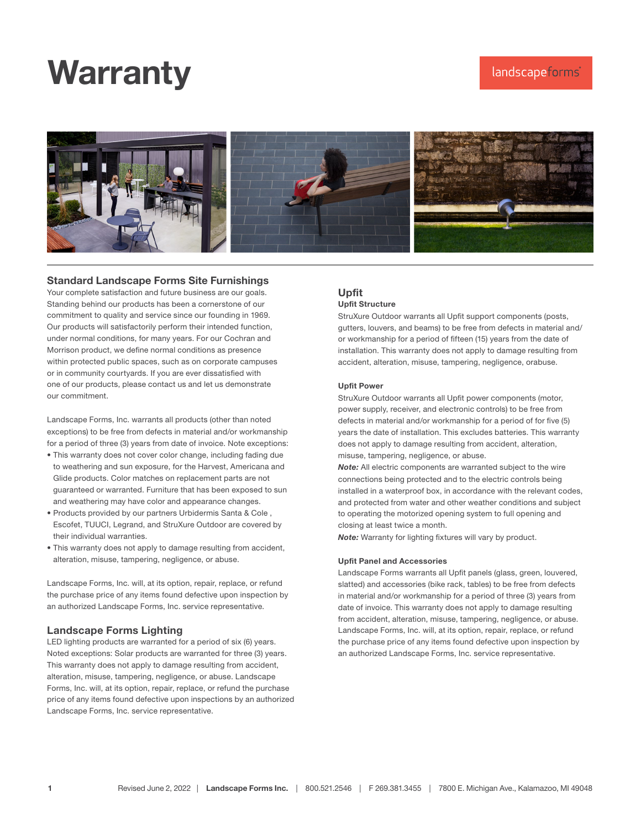# **Warranty**



### Standard Landscape Forms Site Furnishings

Your complete satisfaction and future business are our goals. Standing behind our products has been a cornerstone of our commitment to quality and service since our founding in 1969. Our products will satisfactorily perform their intended function, under normal conditions, for many years. For our Cochran and Morrison product, we define normal conditions as presence within protected public spaces, such as on corporate campuses or in community courtyards. If you are ever dissatisfied with one of our products, please contact us and let us demonstrate our commitment.

Landscape Forms, Inc. warrants all products (other than noted exceptions) to be free from defects in material and/or workmanship for a period of three (3) years from date of invoice. Note exceptions:

- This warranty does not cover color change, including fading due to weathering and sun exposure, for the Harvest, Americana and Glide products. Color matches on replacement parts are not guaranteed or warranted. Furniture that has been exposed to sun and weathering may have color and appearance changes.
- Products provided by our partners Urbidermis Santa & Cole , Escofet, TUUCI, Legrand, and StruXure Outdoor are covered by their individual warranties.
- This warranty does not apply to damage resulting from accident, alteration, misuse, tampering, negligence, or abuse.

Landscape Forms, Inc. will, at its option, repair, replace, or refund the purchase price of any items found defective upon inspection by an authorized Landscape Forms, Inc. service representative.

# Landscape Forms Lighting

LED lighting products are warranted for a period of six (6) years. Noted exceptions: Solar products are warranted for three (3) years. This warranty does not apply to damage resulting from accident, alteration, misuse, tampering, negligence, or abuse. Landscape Forms, Inc. will, at its option, repair, replace, or refund the purchase price of any items found defective upon inspections by an authorized Landscape Forms, Inc. service representative.

# Upfit

## Upfit Structure

StruXure Outdoor warrants all Upfit support components (posts, gutters, louvers, and beams) to be free from defects in material and/ or workmanship for a period of fifteen (15) years from the date of installation. This warranty does not apply to damage resulting from accident, alteration, misuse, tampering, negligence, orabuse.

#### Upfit Power

StruXure Outdoor warrants all Upfit power components (motor, power supply, receiver, and electronic controls) to be free from defects in material and/or workmanship for a period of for five (5) years the date of installation. This excludes batteries. This warranty does not apply to damage resulting from accident, alteration, misuse, tampering, negligence, or abuse.

*Note:* All electric components are warranted subject to the wire connections being protected and to the electric controls being installed in a waterproof box, in accordance with the relevant codes, and protected from water and other weather conditions and subject to operating the motorized opening system to full opening and closing at least twice a month.

*Note:* Warranty for lighting fixtures will vary by product.

#### Upfit Panel and Accessories

Landscape Forms warrants all Upfit panels (glass, green, louvered, slatted) and accessories (bike rack, tables) to be free from defects in material and/or workmanship for a period of three (3) years from date of invoice. This warranty does not apply to damage resulting from accident, alteration, misuse, tampering, negligence, or abuse. Landscape Forms, Inc. will, at its option, repair, replace, or refund the purchase price of any items found defective upon inspection by an authorized Landscape Forms, Inc. service representative.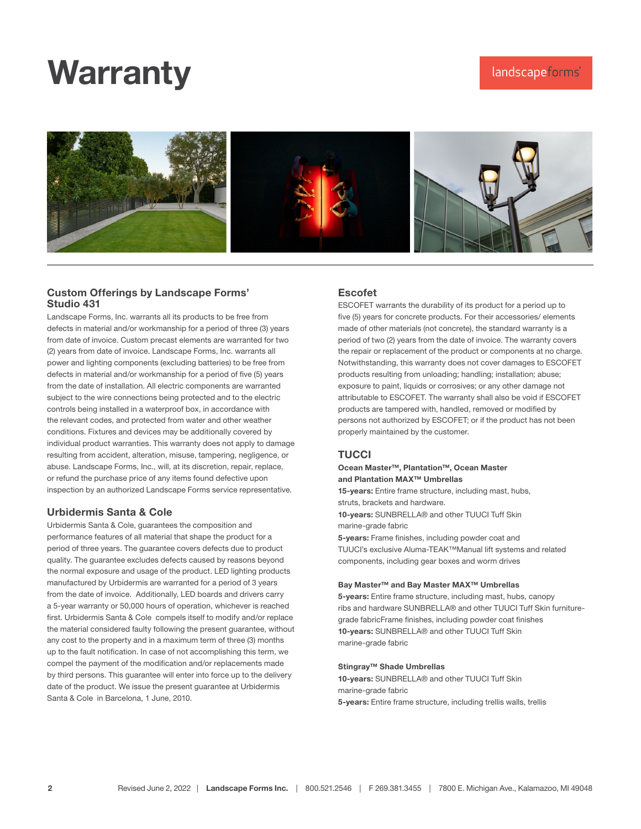# **Warranty**



### Custom Offerings by Landscape Forms' Studio 431

Landscape Forms, Inc. warrants all its products to be free from defects in material and/or workmanship for a period of three (3) years from date of invoice. Custom precast elements are warranted for two (2) years from date of invoice. Landscape Forms, Inc. warrants all power and lighting components (excluding batteries) to be free from defects in material and/or workmanship for a period of five (5) years from the date of installation. All electric components are warranted subject to the wire connections being protected and to the electric controls being installed in a waterproof box, in accordance with the relevant codes, and protected from water and other weather conditions. Fixtures and devices may be additionally covered by individual product warranties. This warranty does not apply to damage resulting from accident, alteration, misuse, tampering, negligence, or abuse. Landscape Forms, Inc., will, at its discretion, repair, replace, or refund the purchase price of any items found defective upon inspection by an authorized Landscape Forms service representative.

### Urbidermis Santa & Cole

Urbidermis Santa & Cole, guarantees the composition and performance features of all material that shape the product for a period of three years. The guarantee covers defects due to product quality. The guarantee excludes defects caused by reasons beyond the normal exposure and usage of the product. LED lighting products manufactured by Urbidermis are warranted for a period of 3 years from the date of invoice. Additionally, LED boards and drivers carry a 5-year warranty or 50,000 hours of operation, whichever is reached first. Urbidermis Santa & Cole compels itself to modify and/or replace the material considered faulty following the present guarantee, without any cost to the property and in a maximum term of three (3) months up to the fault notification. In case of not accomplishing this term, we compel the payment of the modification and/or replacements made by third persons. This guarantee will enter into force up to the delivery date of the product. We issue the present guarantee at Urbidermis Santa & Cole in Barcelona, 1 June, 2010.

### Escofet

ESCOFET warrants the durability of its product for a period up to five (5) years for concrete products. For their accessories/ elements made of other materials (not concrete), the standard warranty is a period of two (2) years from the date of invoice. The warranty covers the repair or replacement of the product or components at no charge. Notwithstanding, this warranty does not cover damages to ESCOFET products resulting from unloading; handling; installation; abuse; exposure to paint, liquids or corrosives; or any other damage not attributable to ESCOFET. The warranty shall also be void if ESCOFET products are tampered with, handled, removed or modified by persons not authorized by ESCOFET; or if the product has not been properly maintained by the customer.

### **TUCCI**

#### Ocean Master™, Plantation™, Ocean Master and Plantation MAX™ Umbrellas

15-years: Entire frame structure, including mast, hubs, struts, brackets and hardware.

10-years: SUNBRELLA® and other TUUCI Tuff Skin marine-grade fabric

5-years: Frame finishes, including powder coat and TUUCI's exclusive Aluma-TEAK™Manual lift systems and related components, including gear boxes and worm drives

#### Bay Master™ and Bay Master MAX™ Umbrellas

5-years: Entire frame structure, including mast, hubs, canopy ribs and hardware SUNBRELLA® and other TUUCI Tuff Skin furnituregrade fabricFrame finishes, including powder coat finishes 10-years: SUNBRELLA® and other TUUCI Tuff Skin marine-grade fabric

#### Stingray™ Shade Umbrellas

10-years: SUNBRELLA® and other TUUCI Tuff Skin marine-grade fabric 5-years: Entire frame structure, including trellis walls, trellis